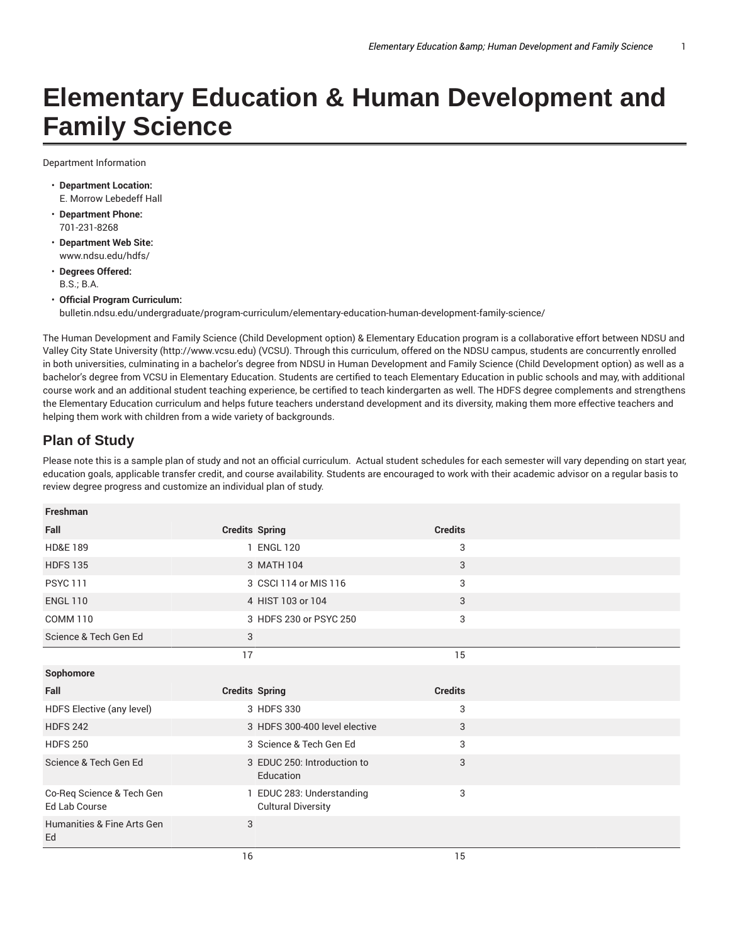## **Elementary Education & Human Development and Family Science**

Department Information

- **Department Location:** E. Morrow Lebedeff Hall
- **Department Phone:** 701-231-8268
- **Department Web Site:** www.ndsu.edu/hdfs/
- **Degrees Offered:** B.S.; B.A.
- **Official Program Curriculum:** bulletin.ndsu.edu/undergraduate/program-curriculum/elementary-education-human-development-family-science/

The Human Development and Family Science (Child Development option) & Elementary Education program is a collaborative effort between NDSU and Valley City State University (http://www.vcsu.edu) (VCSU). Through this curriculum, offered on the NDSU campus, students are concurrently enrolled in both universities, culminating in a bachelor's degree from NDSU in Human Development and Family Science (Child Development option) as well as a bachelor's degree from VCSU in Elementary Education. Students are certified to teach Elementary Education in public schools and may, with additional course work and an additional student teaching experience, be certified to teach kindergarten as well. The HDFS degree complements and strengthens the Elementary Education curriculum and helps future teachers understand development and its diversity, making them more effective teachers and helping them work with children from a wide variety of backgrounds.

## **Plan of Study**

Please note this is a sample plan of study and not an official curriculum. Actual student schedules for each semester will vary depending on start year, education goals, applicable transfer credit, and course availability. Students are encouraged to work with their academic advisor on a regular basis to review degree progress and customize an individual plan of study.

| Freshman                                   |                                                      |                |  |
|--------------------------------------------|------------------------------------------------------|----------------|--|
| Fall                                       | <b>Credits Spring</b>                                | <b>Credits</b> |  |
| <b>HD&amp;E 189</b>                        | 1 ENGL 120                                           | 3              |  |
| <b>HDFS 135</b>                            | 3 MATH 104                                           | 3              |  |
| <b>PSYC 111</b>                            | 3 CSCI 114 or MIS 116                                | $\,$ 3         |  |
| <b>ENGL 110</b>                            | 4 HIST 103 or 104                                    | 3              |  |
| <b>COMM 110</b>                            | 3 HDFS 230 or PSYC 250                               | 3              |  |
| Science & Tech Gen Ed                      | 3                                                    |                |  |
|                                            | 17                                                   | 15             |  |
| Sophomore                                  |                                                      |                |  |
| Fall                                       | <b>Credits Spring</b>                                | <b>Credits</b> |  |
| HDFS Elective (any level)                  | 3 HDFS 330                                           | 3              |  |
| <b>HDFS 242</b>                            | 3 HDFS 300-400 level elective                        | 3              |  |
| <b>HDFS 250</b>                            | 3 Science & Tech Gen Ed                              | 3              |  |
|                                            |                                                      |                |  |
| Science & Tech Gen Ed                      | 3 EDUC 250: Introduction to<br>Education             | 3              |  |
| Co-Req Science & Tech Gen<br>Ed Lab Course | EDUC 283: Understanding<br><b>Cultural Diversity</b> | 3              |  |
| Humanities & Fine Arts Gen<br>Ed           | 3                                                    |                |  |